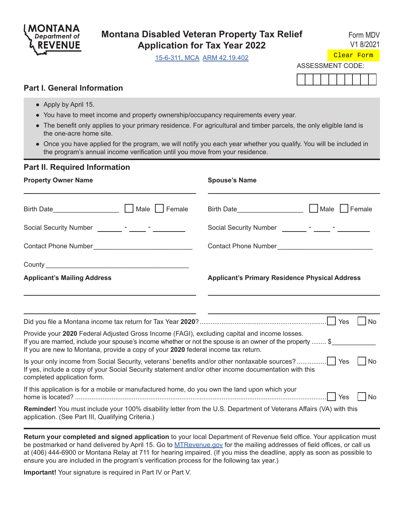

# **Montana Disabled Veteran Property Tax Relief Application for Tax Year 2022**

[15-6-311, MCA](https://leg.mt.gov/bills/mca/title_0150/chapter_0060/part_0030/section_0110/0150-0060-0030-0110.html) [ARM 42.19.402](http://www.mtrules.org/gateway/RuleNo.asp?RN=42%2E19%2E402)

Form MDV V1 8/2021

ASSESSMENT CODE: Clear Form

## **Part I. General Information**

- Apply by April 15.
- You have to meet income and property ownership/occupancy requirements every year.
- The benefit only applies to your primary residence. For agricultural and timber parcels, the only eligible land is the one-acre home site.
- Once you have applied for the program, we will notify you each year whether you qualify. You will be included in the program's annual income verification until you move from your residence.

### **Part II. Required Information**

| <b>Property Owner Name</b>                                                                                                                                                                                                                                                                      | <b>Spouse's Name</b>                                  |  |  |
|-------------------------------------------------------------------------------------------------------------------------------------------------------------------------------------------------------------------------------------------------------------------------------------------------|-------------------------------------------------------|--|--|
| Birth Date________________________  __  Male  __  Female                                                                                                                                                                                                                                        | Male<br>Female<br>Birth Date____________________      |  |  |
|                                                                                                                                                                                                                                                                                                 | Social Security Number _________ - _____ - ______     |  |  |
|                                                                                                                                                                                                                                                                                                 | Contact Phone Number                                  |  |  |
|                                                                                                                                                                                                                                                                                                 |                                                       |  |  |
| <b>Applicant's Mailing Address</b>                                                                                                                                                                                                                                                              | <b>Applicant's Primary Residence Physical Address</b> |  |  |
|                                                                                                                                                                                                                                                                                                 |                                                       |  |  |
|                                                                                                                                                                                                                                                                                                 | l No                                                  |  |  |
| Provide your 2020 Federal Adjusted Gross Income (FAGI), excluding capital and income losses.<br>If you are married, include your spouse's income whether or not the spouse is an owner of the property  \$<br>If you are new to Montana, provide a copy of your 2020 federal income tax return. |                                                       |  |  |
| Is your only income from Social Security, veterans' benefits and/or other nontaxable sources?    Yes<br>If yes, include a copy of your Social Security statement and/or other income documentation with this<br>completed application form.                                                     | <b>No</b>                                             |  |  |
| If this application is for a mobile or manufactured home, do you own the land upon which your                                                                                                                                                                                                   | Yes<br><b>No</b>                                      |  |  |
| Reminder! You must include your 100% disability letter from the U.S. Department of Veterans Affairs (VA) with this<br>application. (See Part III, Qualifying Criteria.)                                                                                                                         |                                                       |  |  |

**Return your completed and signed application** to your local Department of Revenue field office. Your application must be postmarked or hand delivered by April 15. Go to MTRevenue.gov for the mailing addresses of field offices, or call us at (406) 444-6900 or Montana Relay at 711 for hearing impaired. (If you miss the deadline, apply as soon as possible to ensure you are included in the program's verificatio[n process for the](http://mtrevenue.gov) following tax year.)

**Important!** Your signature is required in Part IV or Part V.